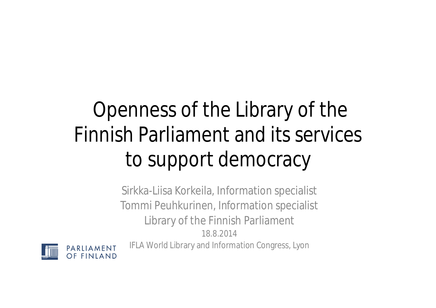## Openness of the Library of the Finnish Parliament and its services to support democracy

Sirkka-Liisa Korkeila, Information specialist Tommi Peuhkurinen, Information specialist Library of the Finnish Parliament 18.8.2014 IFLA World Library and Information Congress, Lyon

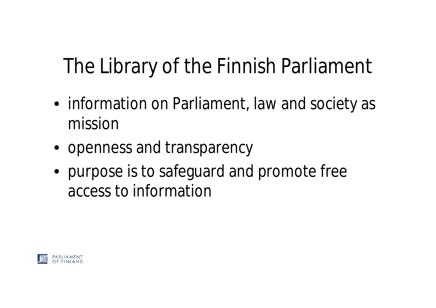## The Library of the Finnish Parliament

- information on Parliament, law and society as mission
- openness and transparency
- purpose is to safeguard and promote free access to information

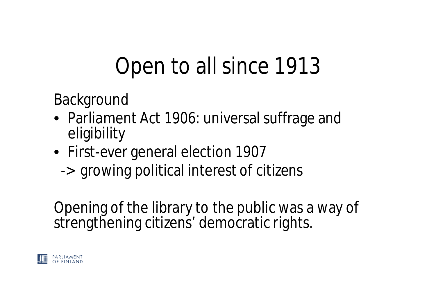## Open to all since 1913

Background

- Parliament Act 1906: universal suffrage and eligibility
- First-ever general election 1907
	- -> growing political interest of citizens

Opening of the library to the public was a way of strengthening citizens' democratic rights.

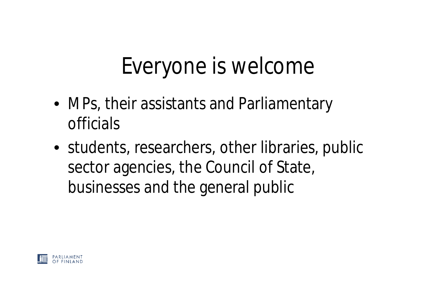## Everyone is welcome

- MPs, their assistants and Parliamentary officials
- students, researchers, other libraries, public sector agencies, the Council of State, businesses and the general public

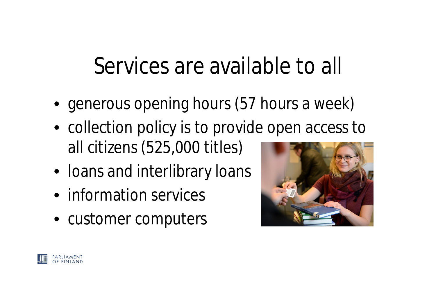## Services are available to all

- generous opening hours (57 hours a week)
- collection policy is to provide open access to all citizens (525,000 titles)
- Ioans and interlibrary loans
- information services
- customer computers



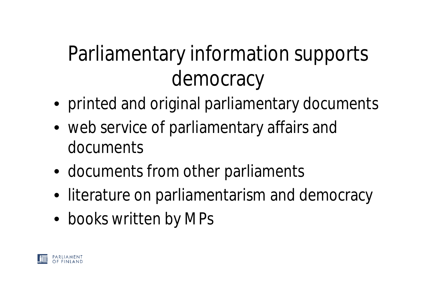## Parliamentary information supports democracy

- printed and original parliamentary documents
- web service of parliamentary affairs and documents
- documents from other parliaments
- literature on parliamentarism and democracy
- books written by MPs

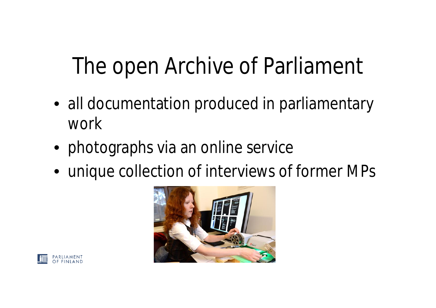# The open Archive of Parliament

- all documentation produced in parliamentary work
- photographs via an online service
- unique collection of interviews of former MPs



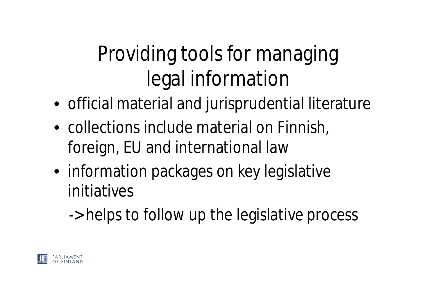## Providing tools for managing legal information

- official material and jurisprudential literature
- collections include material on Finnish, foreign, EU and international law
- information packages on key legislative initiatives

-> helps to follow up the legislative process

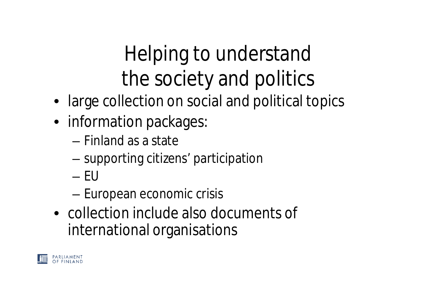#### Helping to understand the society and politics

- large collection on social and political topics
- information packages:
	- Finland as a state
	- supporting citizens' participation
	- $-$  FU
	- European economic crisis
- collection include also documents of international organisations

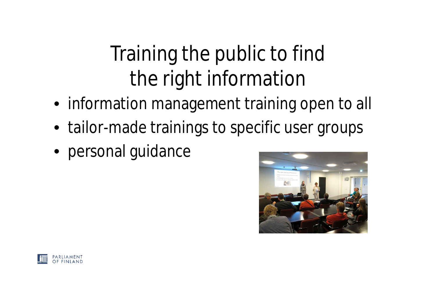#### Training the public to find the right information

- information management training open to all
- tailor-made trainings to specific user groups
- personal guidance



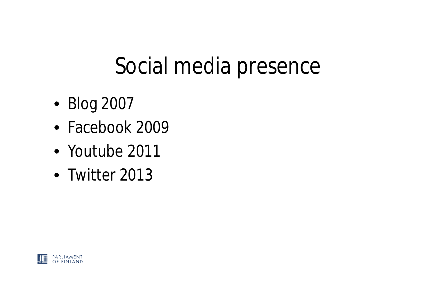## Social media presence

- Blog 2007
- Facebook 2009
- Youtube 2011
- Twitter 2013